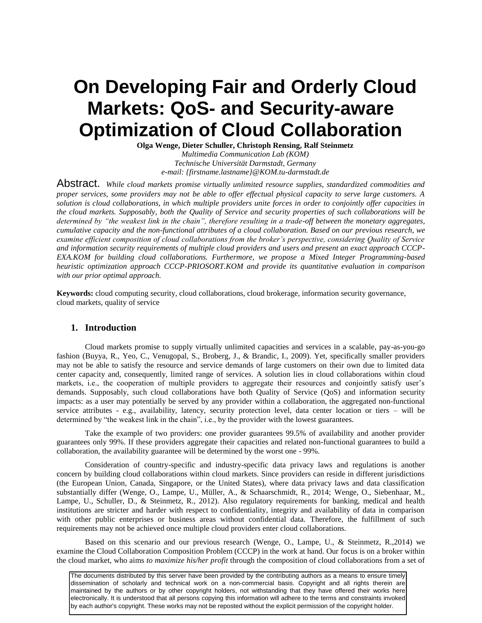# **On Developing Fair and Orderly Cloud Markets: QoS- and Security-aware Optimization of Cloud Collaboration**

**Olga Wenge, Dieter Schuller, Christoph Rensing, Ralf Steinmetz** *Multimedia Communication Lab (KOM) Technische Universität Darmstadt, Germany e-mail: [{firstname.lastname}@KOM.tu-darmstadt.de](mailto:%7bfirstname.lastname%7d@KOM.tu-darmstadt.de)*

Abstract. *While cloud markets promise virtually unlimited resource supplies, standardized commodities and proper services, some providers may not be able to offer effectual physical capacity to serve large customers. A solution is cloud collaborations, in which multiple providers unite forces in order to conjointly offer capacities in the cloud markets. Supposably, both the Quality of Service and security properties of such collaborations will be determined by "the weakest link in the chain", therefore resulting in a trade-off between the monetary aggregates, cumulative capacity and the non-functional attributes of a cloud collaboration. Based on our previous research, we examine efficient composition of cloud collaborations from the broker's perspective, considering Quality of Service and information security requirements of multiple cloud providers and users and present an exact approach CCCP-EXA.KOM for building cloud collaborations. Furthermore, we propose a Mixed Integer Programming-based heuristic optimization approach CCCP-PRIOSORT.KOM and provide its quantitative evaluation in comparison with our prior optimal approach.*

**Keywords:** cloud computing security, cloud collaborations, cloud brokerage, information security governance, cloud markets, quality of service

### **1. Introduction**

Cloud markets promise to supply virtually unlimited capacities and services in a scalable, pay-as-you-go fashion (Buyya, R., Yeo, C., Venugopal, S., Broberg, J., & Brandic, I., 2009). Yet, specifically smaller providers may not be able to satisfy the resource and service demands of large customers on their own due to limited data center capacity and, consequently, limited range of services. A solution lies in cloud collaborations within cloud markets, i.e., the cooperation of multiple providers to aggregate their resources and conjointly satisfy user's demands. Supposably, such cloud collaborations have both Quality of Service (QoS) and information security impacts: as a user may potentially be served by any provider within a collaboration, the aggregated non-functional service attributes - e.g., availability, latency, security protection level, data center location or tiers – will be determined by "the weakest link in the chain", i.e., by the provider with the lowest guarantees.

Take the example of two providers: one provider guarantees 99.5% of availability and another provider guarantees only 99%. If these providers aggregate their capacities and related non-functional guarantees to build a collaboration, the availability guarantee will be determined by the worst one - 99%.

Consideration of country-specific and industry-specific data privacy laws and regulations is another concern by building cloud collaborations within cloud markets. Since providers can reside in different jurisdictions (the European Union, Canada, Singapore, or the United States), where data privacy laws and data classification substantially differ (Wenge, O., Lampe, U., Müller, A., & Schaarschmidt, R., 2014; Wenge, O., Siebenhaar, M., Lampe, U., Schuller, D., & Steinmetz, R., 2012). Also regulatory requirements for banking, medical and health institutions are stricter and harder with respect to confidentiality, integrity and availability of data in comparison with other public enterprises or business areas without confidential data. Therefore, the fulfillment of such requirements may not be achieved once multiple cloud providers enter cloud collaborations.

Based on this scenario and our previous research (Wenge, O., Lampe, U., & Steinmetz, R.,2014) we examine the Cloud Collaboration Composition Problem (CCCP) in the work at hand. Our focus is on a broker within the cloud market, who aims *to maximize his/her profit* through the composition of cloud collaborations from a set of

The documents distributed by this server have been provided by the contributing authors as a means to ensure timely dissemination of scholarly and technical work on a non-commercial basis. Copyright and all rights therein are maintained by the authors or by other copyright holders, not withstanding that they have offered their works here electronically. It is understood that all persons copying this information will adhere to the terms and constraints invoked by each author's copyright. These works may not be reposted without the explicit permission of the copyright holder.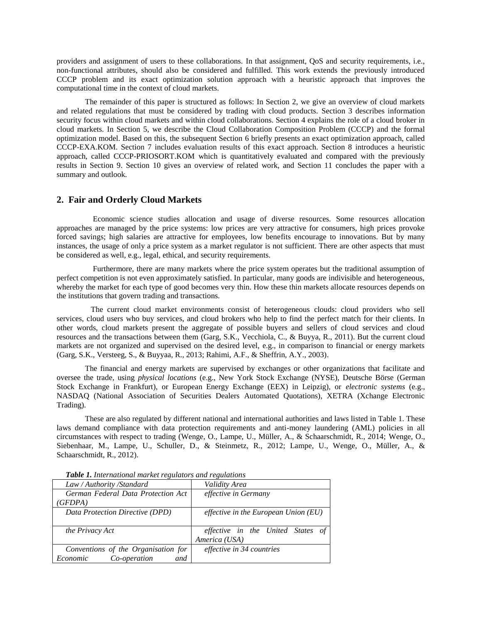providers and assignment of users to these collaborations. In that assignment, QoS and security requirements, i.e., non-functional attributes, should also be considered and fulfilled. This work extends the previously introduced CCCP problem and its exact optimization solution approach with a heuristic approach that improves the computational time in the context of cloud markets.

The remainder of this paper is structured as follows: In Section 2, we give an overview of cloud markets and related regulations that must be considered by trading with cloud products. Section 3 describes information security focus within cloud markets and within cloud collaborations. Section 4 explains the role of a cloud broker in cloud markets. In Section 5, we describe the Cloud Collaboration Composition Problem (CCCP) and the formal optimization model. Based on this, the subsequent Section 6 briefly presents an exact optimization approach, called CCCP-EXA.KOM. Section 7 includes evaluation results of this exact approach. Section 8 introduces a heuristic approach, called CCCP-PRIOSORT.KOM which is quantitatively evaluated and compared with the previously results in Section 9. Section 10 gives an overview of related work, and Section 11 concludes the paper with a summary and outlook.

# **2. Fair and Orderly Cloud Markets**

 Economic science studies allocation and usage of diverse resources. Some resources allocation approaches are managed by the price systems: low prices are very attractive for consumers, high prices provoke forced savings; high salaries are attractive for employees, low benefits encourage to innovations. But by many instances, the usage of only a price system as a market regulator is not sufficient. There are other aspects that must be considered as well, e.g., legal, ethical, and security requirements.

 Furthermore, there are many markets where the price system operates but the traditional assumption of perfect competition is not even approximately satisfied. In particular, many goods are indivisible and heterogeneous, whereby the market for each type of good becomes very thin. How these thin markets allocate resources depends on the institutions that govern trading and transactions.

 The current cloud market environments consist of heterogeneous clouds: cloud providers who sell services, cloud users who buy services, and cloud brokers who help to find the perfect match for their clients. In other words, cloud markets present the aggregate of possible buyers and sellers of cloud services and cloud resources and the transactions between them (Garg, S.K., Vecchiola, C., & Buyya, R., 2011). But the current cloud markets are not organized and supervised on the desired level, e.g., in comparison to financial or energy markets (Garg, S.K., Versteeg, S., & Buyyaa, R., 2013; Rahimi, A.F., & Sheffrin, A.Y., 2003).

The financial and energy markets are supervised by exchanges or other organizations that facilitate and oversee the trade, using *physical locations* (e.g., New York Stock Exchange (NYSE), Deutsche Börse (German Stock Exchange in Frankfurt), or European Energy Exchange (EEX) in Leipzig), or *electronic systems* (e.g., NASDAQ (National Association of Securities Dealers Automated Quotations), XETRA (Xchange Electronic Trading).

These are also regulated by different national and international authorities and laws listed in Table 1. These laws demand compliance with data protection requirements and anti-money laundering (AML) policies in all circumstances with respect to trading (Wenge, O., Lampe, U., Müller, A., & Schaarschmidt, R., 2014; Wenge, O., Siebenhaar, M., Lampe, U., Schuller, D., & Steinmetz, R., 2012; Lampe, U., Wenge, O., Müller, A., & Schaarschmidt, R., 2012).

| Law / Authority / Standard          | Validity Area                          |
|-------------------------------------|----------------------------------------|
| German Federal Data Protection Act  | effective in Germany                   |
| (GFDPA)                             |                                        |
| Data Protection Directive (DPD)     | effective in the European Union $(EU)$ |
|                                     |                                        |
| the Privacy Act                     | effective in the United States of      |
|                                     | America (USA)                          |
| Conventions of the Organisation for | effective in 34 countries              |
| Co-operation<br>and<br>Economic     |                                        |

*Table 1. International market regulators and regulations*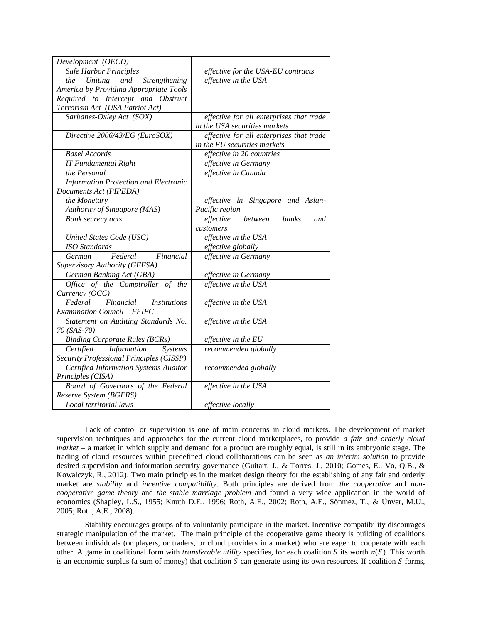| Development (OECD)                                |                                          |  |
|---------------------------------------------------|------------------------------------------|--|
| <b>Safe Harbor Principles</b>                     | effective for the USA-EU contracts       |  |
| Strengthening<br>Uniting and<br>the               | effective in the USA                     |  |
| America by Providing Appropriate Tools            |                                          |  |
| Required to Intercept and Obstruct                |                                          |  |
| Terrorism Act (USA Patriot Act)                   |                                          |  |
| Sarbanes-Oxley Act (SOX)                          | effective for all enterprises that trade |  |
|                                                   | in the USA securities markets            |  |
| Directive 2006/43/EG (EuroSOX)                    | effective for all enterprises that trade |  |
|                                                   | in the EU securities markets             |  |
| <b>Basel Accords</b>                              | effective in 20 countries                |  |
| <b>IT Fundamental Right</b>                       | effective in Germany                     |  |
| the Personal                                      | effective in Canada                      |  |
| <b>Information Protection and Electronic</b>      |                                          |  |
| Documents Act (PIPEDA)                            |                                          |  |
| the Monetary                                      | effective in Singapore and Asian-        |  |
| Authority of Singapore (MAS)                      | Pacific region                           |  |
| Bank secrecy acts                                 | effective<br>banks<br>between<br>and     |  |
|                                                   | customers                                |  |
| United States Code (USC)                          | effective in the USA                     |  |
| <b>ISO</b> Standards                              | effective globally                       |  |
| Federal<br>Financial<br>German                    | effective in Germany                     |  |
| Supervisory Authority (GFFSA)                     |                                          |  |
| German Banking Act (GBA)                          | effective in Germany                     |  |
| Office of the Comptroller of the                  | effective in the USA                     |  |
| Currency (OCC)                                    |                                          |  |
| Financial<br><b>Institutions</b><br>Federal       | effective in the USA                     |  |
| <b>Examination Council - FFIEC</b>                |                                          |  |
| Statement on Auditing Standards No.               | effective in the USA                     |  |
| 70 (SAS-70)                                       |                                          |  |
| <b>Binding Corporate Rules (BCRs)</b>             | effective in the EU                      |  |
| Certified<br><b>Information</b><br><b>Systems</b> | recommended globally                     |  |
| Security Professional Principles (CISSP)          |                                          |  |
| Certified Information Systems Auditor             | recommended globally                     |  |
| Principles (CISA)                                 |                                          |  |
| Board of Governors of the Federal                 | effective in the USA                     |  |
| Reserve System (BGFRS)                            |                                          |  |
| Local territorial laws                            | effective locally                        |  |

Lack of control or supervision is one of main concerns in cloud markets. The development of market supervision techniques and approaches for the current cloud marketplaces, to provide *a fair and orderly cloud market* – a [market](http://financial-dictionary.thefreedictionary.com/Market) in which [supply](http://financial-dictionary.thefreedictionary.com/Supply) and [demand](http://financial-dictionary.thefreedictionary.com/Demand) for a product are roughly equal, is still in its embryonic stage. The trading of cloud resources within predefined cloud collaborations can be seen as *an interim solution* to provide desired supervision and information security governance (Guitart, J., & Torres, J., 2010; Gomes, E., Vo, Q.B., & Kowalczyk, R., 2012). Two main principles in the market design theory for the establishing of any fair and orderly market are *stability* and *incentive compatibility*. Both principles are derived from *the cooperative* and *noncooperative game theory* and *the stable marriage problem* and found a very wide application in the world of economics (Shapley, L.S., 1955; Knuth D.E., 1996; Roth, A.E., 2002; Roth, A.E., Sönmez, T., & Ünver, M.U., 2005; Roth, A.E., 2008).

Stability encourages groups of to voluntarily participate in the market. Incentive compatibility discourages strategic manipulation of the market. The main principle of the cooperative game theory is building of coalitions between individuals (or players, or traders, or cloud providers in a market) who are eager to cooperate with each other. A game in coalitional form with *transferable utility* specifies, for each coalition  $S$  its worth  $v(S)$ . This worth is an economic surplus (a sum of money) that coalition  $S$  can generate using its own resources. If coalition  $S$  forms,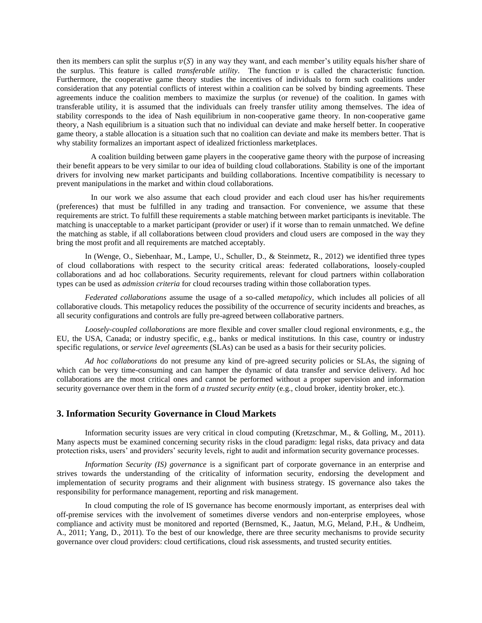then its members can split the surplus  $v(S)$  in any way they want, and each member's utility equals his/her share of the surplus. This feature is called *transferable utility*. The function  $v$  is called the characteristic function. Furthermore, the cooperative game theory studies the incentives of individuals to form such coalitions under consideration that any potential conflicts of interest within a coalition can be solved by binding agreements. These agreements induce the coalition members to maximize the surplus (or revenue) of the coalition. In games with transferable utility, it is assumed that the individuals can freely transfer utility among themselves. The idea of stability corresponds to the idea of Nash equilibrium in non-cooperative game theory. In non-cooperative game theory, a Nash equilibrium is a situation such that no individual can deviate and make herself better. In cooperative game theory, a stable allocation is a situation such that no coalition can deviate and make its members better. That is why stability formalizes an important aspect of idealized frictionless marketplaces.

 A coalition building between game players in the cooperative game theory with the purpose of increasing their benefit appears to be very similar to our idea of building cloud collaborations. Stability is one of the important drivers for involving new market participants and building collaborations. Incentive compatibility is necessary to prevent manipulations in the market and within cloud collaborations.

 In our work we also assume that each cloud provider and each cloud user has his/her requirements (preferences) that must be fulfilled in any trading and transaction. For convenience, we assume that these requirements are strict. To fulfill these requirements a stable matching between market participants is inevitable. The matching is unacceptable to a market participant (provider or user) if it worse than to remain unmatched. We define the matching as stable, if all collaborations between cloud providers and cloud users are composed in the way they bring the most profit and all requirements are matched acceptably.

In (Wenge, O., Siebenhaar, M., Lampe, U., Schuller, D., & Steinmetz, R., 2012) we identified three types of cloud collaborations with respect to the security critical areas: federated collaborations, loosely-coupled collaborations and ad hoc collaborations. Security requirements, relevant for cloud partners within collaboration types can be used as *admission criteria* for cloud recourses trading within those collaboration types.

*Federated collaborations* assume the usage of a so-called *metapolicy*, which includes all policies of all collaborative clouds. This metapolicy reduces the possibility of the occurrence of security incidents and breaches, as all security configurations and controls are fully pre-agreed between collaborative partners.

*Loosely-coupled collaborations* are more flexible and cover smaller cloud regional environments, e.g., the EU, the USA, Canada; or industry specific, e.g., banks or medical institutions. In this case, country or industry specific regulations, or *service level agreements* (SLAs) can be used as a basis for their security policies.

*Ad hoc collaborations* do not presume any kind of pre-agreed security policies or SLAs, the signing of which can be very time-consuming and can hamper the dynamic of data transfer and service delivery. Ad hoc collaborations are the most critical ones and cannot be performed without a proper supervision and information security governance over them in the form of *a trusted security entity* (e.g., cloud broker, identity broker, etc.).

# **3. Information Security Governance in Cloud Markets**

Information security issues are very critical in cloud computing (Kretzschmar, M., & Golling, M., 2011). Many aspects must be examined concerning security risks in the cloud paradigm: legal risks, data privacy and data protection risks, users' and providers' security levels, right to audit and information security governance processes.

*Information Security (IS) governance* is a significant part of corporate governance in an enterprise and strives towards the understanding of the criticality of information security, endorsing the development and implementation of security programs and their alignment with business strategy. IS governance also takes the responsibility for performance management, reporting and risk management.

In cloud computing the role of IS governance has become enormously important, as enterprises deal with off-premise services with the involvement of sometimes diverse vendors and non-enterprise employees, whose compliance and activity must be monitored and reported (Bernsmed, K., Jaatun, M.G, Meland, P.H., & Undheim, A., 2011; Yang, D., 2011). To the best of our knowledge, there are three security mechanisms to provide security governance over cloud providers: cloud certifications, cloud risk assessments, and trusted security entities.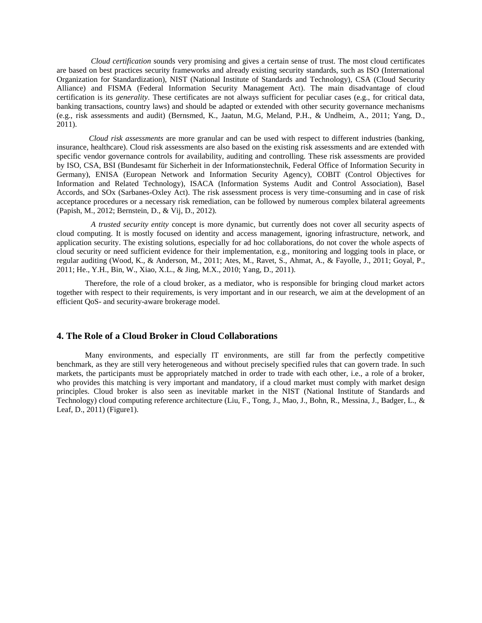*Cloud certification* sounds very promising and gives a certain sense of trust. The most cloud certificates are based on best practices security frameworks and already existing security standards, such as ISO (International Organization for Standardization), NIST (National Institute of Standards and Technology), CSA (Cloud Security Alliance) and FISMA (Federal Information Security Management Act). The main disadvantage of cloud certification is its *generality*. These certificates are not always sufficient for peculiar cases (e.g., for critical data, banking transactions, country laws) and should be adapted or extended with other security governance mechanisms (e.g., risk assessments and audit) (Bernsmed, K., Jaatun, M.G, Meland, P.H., & Undheim, A., 2011; Yang, D., 2011).

 *Cloud risk assessments* are more granular and can be used with respect to different industries (banking, insurance, healthcare). Cloud risk assessments are also based on the existing risk assessments and are extended with specific vendor governance controls for availability, auditing and controlling. These risk assessments are provided by ISO, CSA, BSI (Bundesamt für Sicherheit in der Informationstechnik, Federal Office of Information Security in Germany), ENISA (European Network and Information Security Agency), COBIT (Control Objectives for Information and Related Technology), ISACA (Information Systems Audit and Control Association), Basel Accords, and SOx (Sarbanes-Oxley Act). The risk assessment process is very time-consuming and in case of risk acceptance procedures or a necessary risk remediation, can be followed by numerous complex bilateral agreements (Papish, M., 2012; Bernstein, D., & Vij, D., 2012).

 *A trusted security entity* concept is more dynamic, but currently does not cover all security aspects of cloud computing. It is mostly focused on identity and access management, ignoring infrastructure, network, and application security. The existing solutions, especially for ad hoc collaborations, do not cover the whole aspects of cloud security or need sufficient evidence for their implementation, e.g., monitoring and logging tools in place, or regular auditing (Wood, K., & Anderson, M., 2011; Ates, M., Ravet, S., Ahmat, A., & Fayolle, J., 2011; Goyal, P., 2011; He., Y.H., Bin, W., Xiao, X.L., & Jing, M.X., 2010; Yang, D., 2011).

Therefore, the role of a cloud broker, as a mediator, who is responsible for bringing cloud market actors together with respect to their requirements, is very important and in our research, we aim at the development of an efficient QoS- and security-aware brokerage model.

# **4. The Role of a Cloud Broker in Cloud Collaborations**

Many environments, and especially IT environments, are still far from the perfectly competitive benchmark, as they are still very heterogeneous and without precisely specified rules that can govern trade. In such markets, the participants must be appropriately matched in order to trade with each other, i.e., a role of a broker, who provides this matching is very important and mandatory, if a cloud market must comply with market design principles. Cloud broker is also seen as inevitable market in the NIST (National Institute of Standards and Technology) cloud computing reference architecture (Liu, F., Tong, J., Mao, J., Bohn, R., Messina, J., Badger, L., & Leaf, D., 2011) (Figure1).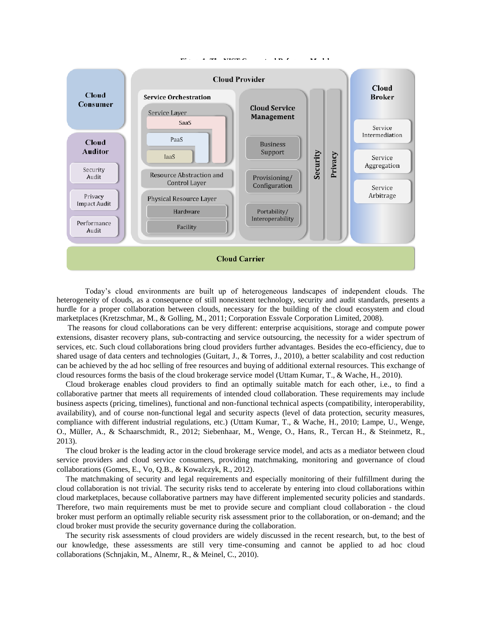

Today's cloud environments are built up of heterogeneous landscapes of independent clouds. The heterogeneity of clouds, as a consequence of still nonexistent technology, security and audit standards, presents a hurdle for a proper collaboration between clouds, necessary for the building of the cloud ecosystem and cloud marketplaces (Kretzschmar, M., & Golling, M., 2011; Corporation Essvale Corporation Limited, 2008).

The reasons for cloud collaborations can be very different: enterprise acquisitions, storage and compute power extensions, disaster recovery plans, sub-contracting and service outsourcing, the necessity for a wider spectrum of services, etc. Such cloud collaborations bring cloud providers further advantages. Besides the eco-efficiency, due to shared usage of data centers and technologies (Guitart, J., & Torres, J., 2010), a better scalability and cost reduction can be achieved by the ad hoc selling of free resources and buying of additional external resources. This exchange of cloud resources forms the basis of the cloud brokerage service model (Uttam Kumar, T., & Wache, H., 2010).

Cloud brokerage enables cloud providers to find an optimally suitable match for each other, i.e., to find a collaborative partner that meets all requirements of intended cloud collaboration. These requirements may include business aspects (pricing, timelines), functional and non-functional technical aspects (compatibility, interoperability, availability), and of course non-functional legal and security aspects (level of data protection, security measures, compliance with different industrial regulations, etc.) (Uttam Kumar, T., & Wache, H., 2010; Lampe, U., Wenge, O., Müller, A., & Schaarschmidt, R., 2012; Siebenhaar, M., Wenge, O., Hans, R., Tercan H., & Steinmetz, R., 2013).

The cloud broker is the leading actor in the cloud brokerage service model, and acts as a mediator between cloud service providers and cloud service consumers, providing matchmaking, monitoring and governance of cloud collaborations (Gomes, E., Vo, Q.B., & Kowalczyk, R., 2012).

The matchmaking of security and legal requirements and especially monitoring of their fulfillment during the cloud collaboration is not trivial. The security risks tend to accelerate by entering into cloud collaborations within cloud marketplaces, because collaborative partners may have different implemented security policies and standards. Therefore, two main requirements must be met to provide secure and compliant cloud collaboration - the cloud broker must perform an optimally reliable security risk assessment prior to the collaboration, or on-demand; and the cloud broker must provide the security governance during the collaboration.

The security risk assessments of cloud providers are widely discussed in the recent research, but, to the best of our knowledge, these assessments are still very time-consuming and cannot be applied to ad hoc cloud collaborations (Schnjakin, M., Alnemr, R., & Meinel, C., 2010).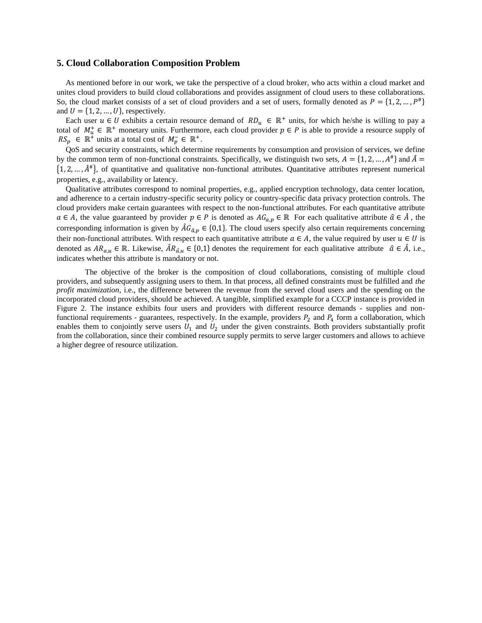#### **5. Cloud Collaboration Composition Problem**

As mentioned before in our work, we take the perspective of a cloud broker, who acts within a cloud market and unites cloud providers to build cloud collaborations and provides assignment of cloud users to these collaborations. So, the cloud market consists of a set of cloud providers and a set of users, formally denoted as  $P = \{1, 2, ..., P^*\}$ and  $U = \{1, 2, ..., U\}$ , respectively.

Each user  $u \in U$  exhibits a certain resource demand of  $RD_u \in \mathbb{R}^+$  units, for which he/she is willing to pay a total of  $M_u^+ \in \mathbb{R}^+$  monetary units. Furthermore, each cloud provider  $p \in P$  is able to provide a resource supply of  $RS_p \in \mathbb{R}^+$  units at a total cost of  $M_p^- \in \mathbb{R}^+$ .

QoS and security constraints, which determine requirements by consumption and provision of services, we define by the common term of non-functional constraints. Specifically, we distinguish two sets,  $A = \{1, 2, ..., A^*\}$  and  $\hat{A} =$  $\{1, 2, ..., \hat{A}^*\}$ , of quantitative and qualitative non-functional attributes. Quantitative attributes represent numerical properties, e.g., availability or latency.

Qualitative attributes correspond to nominal properties, e.g., applied encryption technology, data center location, and adherence to a certain industry-specific security policy or country-specific data privacy protection controls. The cloud providers make certain guarantees with respect to the non-functional attributes. For each quantitative attribute  $a \in A$ , the value guaranteed by provider  $p \in P$  is denoted as  $AG_{a,p} \in \mathbb{R}$  For each qualitative attribute  $\hat{a} \in \hat{A}$ , the corresponding information is given by  $\hat{A}G_{\hat{a},p} \in \{0,1\}$ . The cloud users specify also certain requirements concerning their non-functional attributes. With respect to each quantitative attribute  $a \in A$ , the value required by user  $u \in U$  is denoted as  $AR_{a,u} \in \mathbb{R}$ . Likewise,  $\hat{AR}_{\hat{a},u} \in \{0,1\}$  denotes the requirement for each qualitative attribute  $\hat{a} \in \hat{A}$ , i.e., indicates whether this attribute is mandatory or not.

The objective of the broker is the composition of cloud collaborations, consisting of multiple cloud providers, and subsequently assigning users to them. In that process, all defined constraints must be fulfilled and *the profit maximization*, i.e., the difference between the revenue from the served cloud users and the spending on the incorporated cloud providers, should be achieved. A tangible, simplified example for a CCCP instance is provided in Figure 2. The instance exhibits four users and providers with different resource demands - supplies and nonfunctional requirements - guarantees, respectively. In the example, providers  $P_2$  and  $P_4$  form a collaboration, which enables them to conjointly serve users  $U_1$  and  $U_2$  under the given constraints. Both providers substantially profit from the collaboration, since their combined resource supply permits to serve larger customers and allows to achieve a higher degree of resource utilization.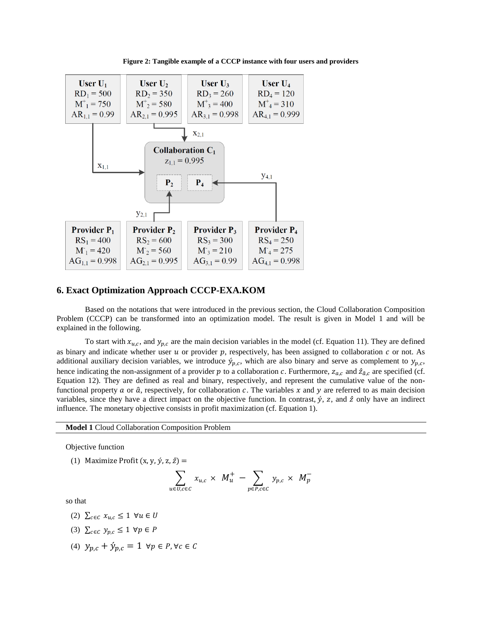

**Figure 2: Tangible example of a CCCP instance with four users and providers**

# **6. Exact Optimization Approach CCCP-EXA.KOM**

Based on the notations that were introduced in the previous section, the Cloud Collaboration Composition Problem (CCCP) can be transformed into an optimization model. The result is given in Model 1 and will be explained in the following.

To start with  $x_{u,c}$ , and  $y_{p,c}$  are the main decision variables in the model (cf. Equation 11). They are defined as binary and indicate whether user  $u$  or provider  $p$ , respectively, has been assigned to collaboration  $c$  or not. As additional auxiliary decision variables, we introduce  $\dot{y}_{p,c}$ , which are also binary and serve as complement to  $y_{p,c}$ , hence indicating the non-assignment of a provider p to a collaboration c. Furthermore,  $z_{a,c}$  and  $\hat{z}_{a,c}$  are specified (cf. Equation 12). They are defined as real and binary, respectively, and represent the cumulative value of the nonfunctional property  $\alpha$  or  $\hat{\alpha}$ , respectively, for collaboration  $\alpha$ . The variables  $x$  and  $y$  are referred to as main decision variables, since they have a direct impact on the objective function. In contrast,  $\dot{y}$ , z, and  $\dot{z}$  only have an indirect influence. The monetary objective consists in profit maximization (cf. Equation 1).

**Model 1** Cloud Collaboration Composition Problem

Objective function

(1) Maximize Profit  $(x, y, \dot{y}, z, \dot{z}) =$ 

$$
\sum_{u \in U, c \in C} x_{u,c} \times M_u^+ - \sum_{p \in P, c \in C} y_{p,c} \times M_p^-
$$

so that

- (2)  $\sum_{c \in C} x_{u,c} \leq 1 \ \forall u \in U$
- (3)  $\sum_{c \in C} y_{p,c} \leq 1 \ \forall p \in P$
- (4)  $y_{p,c} + \acute{y}_{p,c} = 1 \ \forall p \in P, \forall c \in C$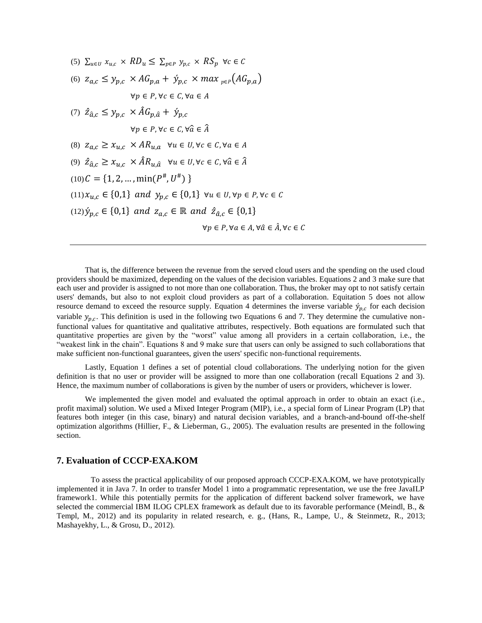(5) 
$$
\sum_{u \in U} x_{u,c} \times RD_u \leq \sum_{p \in P} y_{p,c} \times RS_p \quad \forall c \in C
$$
  
\n(6)  $z_{a,c} \leq y_{p,c} \times AG_{p,a} + \dot{y}_{p,c} \times max_{p \in P}(AG_{p,a})$   
\n $\forall p \in P, \forall c \in C, \forall a \in A$   
\n(7)  $\hat{z}_{\hat{a},c} \leq y_{p,c} \times \hat{A}G_{p,\hat{a}} + \dot{y}_{p,c}$   
\n $\forall p \in P, \forall c \in C, \forall \hat{a} \in \hat{A}$   
\n(8)  $z_{a,c} \geq x_{u,c} \times AR_{u,a} \quad \forall u \in U, \forall c \in C, \forall a \in A$   
\n(9)  $\hat{z}_{\hat{a},c} \geq x_{u,c} \times \hat{A}R_{u,\hat{a}} \quad \forall u \in U, \forall c \in C, \forall \hat{a} \in \hat{A}$   
\n(10)  $C = \{1, 2, ..., min(P^{\#}, U^{\#})\}$   
\n(11)  $x_{u,c} \in \{0,1\}$  and  $y_{p,c} \in \{0,1\}$   $\forall u \in U, \forall p \in P, \forall c \in C$   
\n(12)  $\dot{y}_{p,c} \in \{0,1\}$  and  $z_{a,c} \in \mathbb{R}$  and  $\dot{z}_{\hat{a},c} \in \{0,1\}$   
\n $\forall p \in P, \forall a \in A, \forall \hat{a} \in \hat{A}, \forall c \in C$ 

That is, the difference between the revenue from the served cloud users and the spending on the used cloud providers should be maximized, depending on the values of the decision variables. Equations 2 and 3 make sure that each user and provider is assigned to not more than one collaboration. Thus, the broker may opt to not satisfy certain users' demands, but also to not exploit cloud providers as part of a collaboration. Equitation 5 does not allow resource demand to exceed the resource supply. Equation 4 determines the inverse variable  $\dot{y}_{p,c}$  for each decision variable  $y_{p,c}$ . This definition is used in the following two Equations 6 and 7. They determine the cumulative nonfunctional values for quantitative and qualitative attributes, respectively. Both equations are formulated such that quantitative properties are given by the "worst" value among all providers in a certain collaboration, i.e., the "weakest link in the chain". Equations 8 and 9 make sure that users can only be assigned to such collaborations that make sufficient non-functional guarantees, given the users' specific non-functional requirements.

Lastly, Equation 1 defines a set of potential cloud collaborations. The underlying notion for the given definition is that no user or provider will be assigned to more than one collaboration (recall Equations 2 and 3). Hence, the maximum number of collaborations is given by the number of users or providers, whichever is lower.

We implemented the given model and evaluated the optimal approach in order to obtain an exact (i.e., profit maximal) solution. We used a Mixed Integer Program (MIP), i.e., a special form of Linear Program (LP) that features both integer (in this case, binary) and natural decision variables, and a branch-and-bound off-the-shelf optimization algorithms (Hillier, F., & Lieberman, G., 2005). The evaluation results are presented in the following section.

# **7. Evaluation of CCCP-EXA.KOM**

 To assess the practical applicability of our proposed approach CCCP-EXA.KOM, we have prototypically implemented it in Java 7. In order to transfer Model 1 into a programmatic representation, we use the free JavaILP framework1. While this potentially permits for the application of different backend solver framework, we have selected the commercial IBM ILOG CPLEX framework as default due to its favorable performance (Meindl, B., & Templ, M., 2012) and its popularity in related research, e. g., (Hans, R., Lampe, U., & Steinmetz, R., 2013; Mashayekhy, L., & Grosu, D., 2012).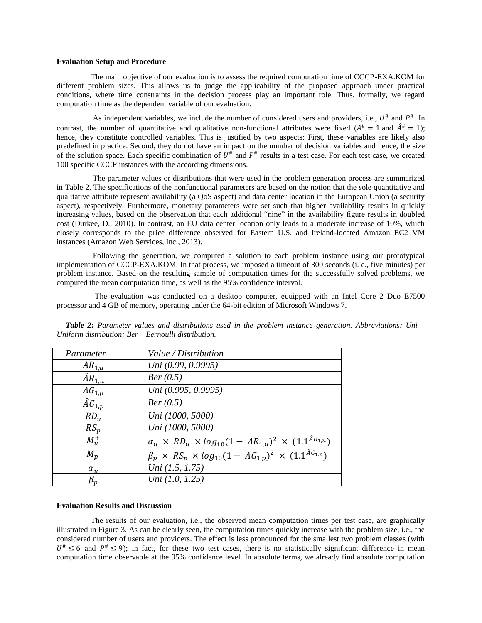#### **Evaluation Setup and Procedure**

 The main objective of our evaluation is to assess the required computation time of CCCP-EXA.KOM for different problem sizes. This allows us to judge the applicability of the proposed approach under practical conditions, where time constraints in the decision process play an important role. Thus, formally, we regard computation time as the dependent variable of our evaluation.

As independent variables, we include the number of considered users and providers, i.e.,  $U^{\#}$  and  $P^{\#}$ . In contrast, the number of quantitative and qualitative non-functional attributes were fixed ( $A^{\#} = 1$  and  $\hat{A}^{\#} = 1$ ); hence, they constitute controlled variables. This is justified by two aspects: First, these variables are likely also predefined in practice. Second, they do not have an impact on the number of decision variables and hence, the size of the solution space. Each specific combination of  $U^{\#}$  and  $P^{\#}$  results in a test case. For each test case, we created 100 specific CCCP instances with the according dimensions.

 The parameter values or distributions that were used in the problem generation process are summarized in Table 2. The specifications of the nonfunctional parameters are based on the notion that the sole quantitative and qualitative attribute represent availability (a QoS aspect) and data center location in the European Union (a security aspect), respectively. Furthermore, monetary parameters were set such that higher availability results in quickly increasing values, based on the observation that each additional "nine" in the availability figure results in doubled cost (Durkee, D., 2010). In contrast, an EU data center location only leads to a moderate increase of 10%, which closely corresponds to the price difference observed for Eastern U.S. and Ireland-located Amazon EC2 VM instances (Amazon Web Services, Inc., 2013).

 Following the generation, we computed a solution to each problem instance using our prototypical implementation of CCCP-EXA.KOM. In that process, we imposed a timeout of 300 seconds (i. e., five minutes) per problem instance. Based on the resulting sample of computation times for the successfully solved problems, we computed the mean computation time, as well as the 95% confidence interval.

 The evaluation was conducted on a desktop computer, equipped with an Intel Core 2 Duo E7500 processor and 4 GB of memory, operating under the 64-bit edition of Microsoft Windows 7.

| Parameter        | Value / Distribution                                                                   |
|------------------|----------------------------------------------------------------------------------------|
| $AR_{1,u}$       | Uni (0.99, 0.9995)                                                                     |
| $\hat{A}R_{1,u}$ | Ber(0.5)                                                                               |
| $AG_{1,p}$       | Uni (0.995, 0.9995)                                                                    |
| $\hat{A}G_{1,p}$ | Ber(0.5)                                                                               |
| $RD_u$           | Uni (1000, 5000)                                                                       |
| $RS_n$           | Uni (1000, 5000)                                                                       |
| $M_u^+$          | $\alpha_u \times RD_u \times log_{10}(1 - AR_{1,u})^2 \times (1.1^{\tilde{AR}_{1,u}})$ |
| $M_p^-$          | $\beta_p \times RS_p \times log_{10}(1 - AG_{1,p})^2 \times (1.1^{\hat{A}G_{1,p}})$    |
| $\alpha_{\rm u}$ | Uni (1.5, 1.75)                                                                        |
| $\beta_n$        | Uni $(1.0, 1.25)$                                                                      |

*Table 2: Parameter values and distributions used in the problem instance generation. Abbreviations: Uni – Uniform distribution; Ber – Bernoulli distribution.*

## **Evaluation Results and Discussion**

 The results of our evaluation, i.e., the observed mean computation times per test case, are graphically illustrated in Figure 3. As can be clearly seen, the computation times quickly increase with the problem size, i.e., the considered number of users and providers. The effect is less pronounced for the smallest two problem classes (with  $U^* \leq 6$  and  $P^* \leq 9$ ); in fact, for these two test cases, there is no statistically significant difference in mean computation time observable at the 95% confidence level. In absolute terms, we already find absolute computation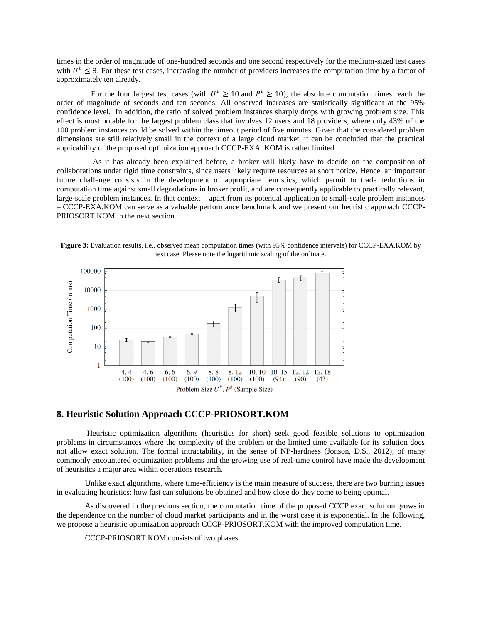times in the order of magnitude of one-hundred seconds and one second respectively for the medium-sized test cases with  $U^* \leq 8$ . For these test cases, increasing the number of providers increases the computation time by a factor of approximately ten already.

For the four largest test cases (with  $U^* \ge 10$  and  $P^* \ge 10$ ), the absolute computation times reach the order of magnitude of seconds and ten seconds. All observed increases are statistically significant at the 95% confidence level. In addition, the ratio of solved problem instances sharply drops with growing problem size. This effect is most notable for the largest problem class that involves 12 users and 18 providers, where only 43% of the 100 problem instances could be solved within the timeout period of five minutes. Given that the considered problem dimensions are still relatively small in the context of a large cloud market, it can be concluded that the practical applicability of the proposed optimization approach CCCP-EXA. KOM is rather limited.

 As it has already been explained before, a broker will likely have to decide on the composition of collaborations under rigid time constraints, since users likely require resources at short notice. Hence, an important future challenge consists in the development of appropriate heuristics, which permit to trade reductions in computation time against small degradations in broker profit, and are consequently applicable to practically relevant, large-scale problem instances. In that context – apart from its potential application to small-scale problem instances – CCCP-EXA.KOM can serve as a valuable performance benchmark and we present our heuristic approach CCCP-PRIOSORT.KOM in the next section.





# **8. Heuristic Solution Approach CCCP-PRIOSORT.KOM**

Heuristic optimization algorithms (heuristics for short) seek good feasible solutions to optimization problems in circumstances where the complexity of the problem or the limited time available for its solution does not allow exact solution. The formal intractability, in the sense of NP-hardness (Jonson, D.S., 2012), of many commonly encountered optimization problems and the growing use of real-time control have made the development of heuristics a major area within operations research.

Unlike exact algorithms, where time-efficiency is the main measure of success, there are two burning issues in evaluating heuristics: how fast can solutions be obtained and how close do they come to being optimal.

As discovered in the previous section, the computation time of the proposed CCCP exact solution grows in the dependence on the number of cloud market participants and in the worst case it is exponential. In the following, we propose a heuristic optimization approach CCCP-PRIOSORT.KOM with the improved computation time.

CCCP-PRIOSORT.KOM consists of two phases: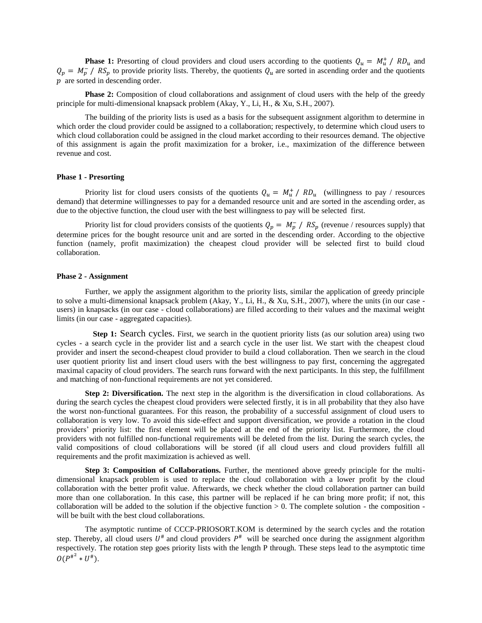**Phase 1:** Presorting of cloud providers and cloud users according to the quotients  $Q_u = M_u^+ / RD_u$  and  $Q_p = M_p^-$  /  $RS_p$  to provide priority lists. Thereby, the quotients  $Q_u$  are sorted in ascending order and the quotients  $p$  are sorted in descending order.

**Phase 2:** Composition of cloud collaborations and assignment of cloud users with the help of the greedy principle for multi-dimensional knapsack problem (Akay, Y., Li, H., & Xu, S.H., 2007).

The building of the priority lists is used as a basis for the subsequent assignment algorithm to determine in which order the cloud provider could be assigned to a collaboration; respectively, to determine which cloud users to which cloud collaboration could be assigned in the cloud market according to their resources demand. The objective of this assignment is again the profit maximization for a broker, i.e., maximization of the difference between revenue and cost.

#### **Phase 1 - Presorting**

Priority list for cloud users consists of the quotients  $Q_u = M_u^+ / R D_u$  (willingness to pay / resources demand) that determine willingnesses to pay for a demanded resource unit and are sorted in the ascending order, as due to the objective function, the cloud user with the best willingness to pay will be selected first.

Priority list for cloud providers consists of the quotients  $Q_p = M_p^- / RS_p$  (revenue / resources supply) that determine prices for the bought resource unit and are sorted in the descending order. According to the objective function (namely, profit maximization) the cheapest cloud provider will be selected first to build cloud collaboration.

#### **Phase 2 - Assignment**

Further, we apply the assignment algorithm to the priority lists, similar the application of greedy principle to solve a multi-dimensional knapsack problem (Akay, Y., Li, H., & Xu, S.H., 2007), where the units (in our case users) in knapsacks (in our case - cloud collaborations) are filled according to their values and the maximal weight limits (in our case - aggregated capacities).

**Step 1:** Search cycles. First, we search in the quotient priority lists (as our solution area) using two cycles - a search cycle in the provider list and a search cycle in the user list. We start with the cheapest cloud provider and insert the second-cheapest cloud provider to build a cloud collaboration. Then we search in the cloud user quotient priority list and insert cloud users with the best willingness to pay first, concerning the aggregated maximal capacity of cloud providers. The search runs forward with the next participants. In this step, the fulfillment and matching of non-functional requirements are not yet considered.

**Step 2: Diversification.** The next step in the algorithm is the diversification in cloud collaborations. As during the search cycles the cheapest cloud providers were selected firstly, it is in all probability that they also have the worst non-functional guarantees. For this reason, the probability of a successful assignment of cloud users to collaboration is very low. To avoid this side-effect and support diversification, we provide a rotation in the cloud providers' priority list: the first element will be placed at the end of the priority list. Furthermore, the cloud providers with not fulfilled non-functional requirements will be deleted from the list. During the search cycles, the valid compositions of cloud collaborations will be stored (if all cloud users and cloud providers fulfill all requirements and the profit maximization is achieved as well.

**Step 3: Composition of Collaborations.** Further, the mentioned above greedy principle for the multidimensional knapsack problem is used to replace the cloud collaboration with a lower profit by the cloud collaboration with the better profit value. Afterwards, we check whether the cloud collaboration partner can build more than one collaboration. In this case, this partner will be replaced if he can bring more profit; if not, this collaboration will be added to the solution if the objective function > 0. The complete solution - the composition will be built with the best cloud collaborations.

The asymptotic runtime of CCCP-PRIOSORT.KOM is determined by the search cycles and the rotation step. Thereby, all cloud users  $U^{\#}$  and cloud providers  $P^{\#}$  will be searched once during the assignment algorithm respectively. The rotation step goes priority lists with the length P through. These steps lead to the asymptotic time  $O(P^{\#^2} * U^{\#}).$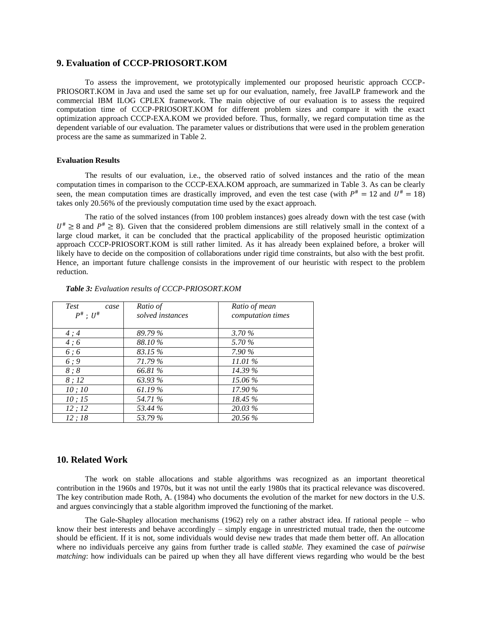## **9. Evaluation of CCCP-PRIOSORT.KOM**

To assess the improvement, we prototypically implemented our proposed heuristic approach CCCP-PRIOSORT.KOM in Java and used the same set up for our evaluation, namely, free JavaILP framework and the commercial IBM ILOG CPLEX framework. The main objective of our evaluation is to assess the required computation time of CCCP-PRIOSORT.KOM for different problem sizes and compare it with the exact optimization approach CCCP-EXA.KOM we provided before. Thus, formally, we regard computation time as the dependent variable of our evaluation. The parameter values or distributions that were used in the problem generation process are the same as summarized in Table 2.

#### **Evaluation Results**

The results of our evaluation, i.e., the observed ratio of solved instances and the ratio of the mean computation times in comparison to the CCCP-EXA.KOM approach, are summarized in Table 3. As can be clearly seen, the mean computation times are drastically improved, and even the test case (with  $P^* = 12$  and  $U^* = 18$ ) takes only 20.56% of the previously computation time used by the exact approach.

The ratio of the solved instances (from 100 problem instances) goes already down with the test case (with  $U^* \geq 8$  and  $P^* \geq 8$ ). Given that the considered problem dimensions are still relatively small in the context of a large cloud market, it can be concluded that the practical applicability of the proposed heuristic optimization approach CCCP-PRIOSORT.KOM is still rather limited. As it has already been explained before, a broker will likely have to decide on the composition of collaborations under rigid time constraints, but also with the best profit. Hence, an important future challenge consists in the improvement of our heuristic with respect to the problem reduction.

| Test<br>case        | Ratio of         | Ratio of mean     |
|---------------------|------------------|-------------------|
| $P^{\#}$ ; $U^{\#}$ | solved instances | computation times |
|                     |                  |                   |
| 4:4                 | 89.79 %          | 3.70 %            |
| 4:6                 | 88.10 %          | 5.70 %            |
| 6:6                 | 83.15 %          | 7.90 %            |
| 6:9                 | 71.79 %          | 11.01%            |
| 8:8                 | 66.81 %          | 14.39 %           |
| 8:12                | 63.93 %          | 15.06 %           |
| 10:10               | 61.19 %          | 17.90%            |
| 10; 15              | 54.71 %          | 18.45%            |
| 12; 12              | 53.44 %          | 20.03 %           |
| 12:18               | 53.79 %          | 20.56 %           |

*Table 3: Evaluation results of CCCP-PRIOSORT.KOM*

## **10. Related Work**

The work on stable allocations and stable algorithms was recognized as an important theoretical contribution in the 1960s and 1970s, but it was not until the early 1980s that its practical relevance was discovered. The key contribution made Roth, A. (1984) who documents the evolution of the market for new doctors in the U.S. and argues convincingly that a stable algorithm improved the functioning of the market.

The Gale-Shapley allocation mechanisms (1962) rely on a rather abstract idea. If rational people – who know their best interests and behave accordingly – simply engage in unrestricted mutual trade, then the outcome should be efficient. If it is not, some individuals would devise new trades that made them better off. An allocation where no individuals perceive any gains from further trade is called *stable. T*hey examined the case of *pairwise matching*: how individuals can be paired up when they all have different views regarding who would be the best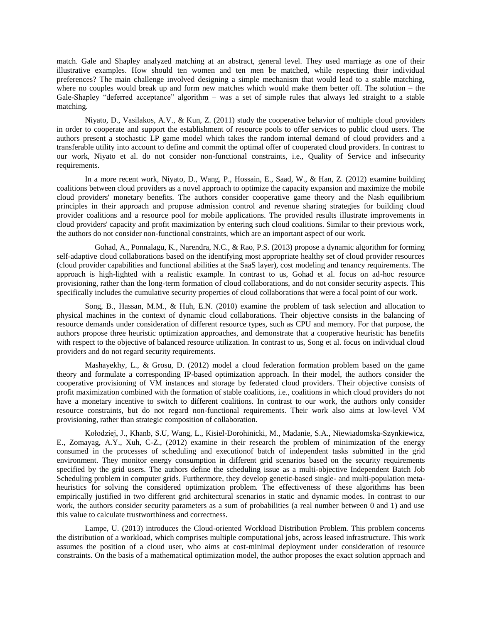match. Gale and Shapley analyzed matching at an abstract, general level. They used marriage as one of their illustrative examples. How should ten women and ten men be matched, while respecting their individual preferences? The main challenge involved designing a simple mechanism that would lead to a stable matching, where no couples would break up and form new matches which would make them better off. The solution – the Gale-Shapley "deferred acceptance" algorithm – was a set of simple rules that always led straight to a stable matching.

Niyato, D., Vasilakos, A.V., & Kun, Z. (2011) study the cooperative behavior of multiple cloud providers in order to cooperate and support the establishment of resource pools to offer services to public cloud users. The authors present a stochastic LP game model which takes the random internal demand of cloud providers and a transferable utility into account to define and commit the optimal offer of cooperated cloud providers. In contrast to our work, Niyato et al. do not consider non-functional constraints, i.e., Quality of Service and infsecurity requirements.

In a more recent work, Niyato, D., Wang, P., Hossain, E., Saad, W., & Han, Z. (2012) examine building coalitions between cloud providers as a novel approach to optimize the capacity expansion and maximize the mobile cloud providers' monetary benefits. The authors consider cooperative game theory and the Nash equilibrium principles in their approach and propose admission control and revenue sharing strategies for building cloud provider coalitions and a resource pool for mobile applications. The provided results illustrate improvements in cloud providers' capacity and profit maximization by entering such cloud coalitions. Similar to their previous work, the authors do not consider non-functional constraints, which are an important aspect of our work.

 Gohad, A., Ponnalagu, K., Narendra, N.C., & Rao, P.S. (2013) propose a dynamic algorithm for forming self-adaptive cloud collaborations based on the identifying most appropriate healthy set of cloud provider resources (cloud provider capabilities and functional abilities at the SaaS layer), cost modeling and tenancy requirements. The approach is high-lighted with a realistic example. In contrast to us, Gohad et al. focus on ad-hoc resource provisioning, rather than the long-term formation of cloud collaborations, and do not consider security aspects. This specifically includes the cumulative security properties of cloud collaborations that were a focal point of our work.

Song, B., Hassan, M.M., & Huh, E.N. (2010) examine the problem of task selection and allocation to physical machines in the context of dynamic cloud collaborations. Their objective consists in the balancing of resource demands under consideration of different resource types, such as CPU and memory. For that purpose, the authors propose three heuristic optimization approaches, and demonstrate that a cooperative heuristic has benefits with respect to the objective of balanced resource utilization. In contrast to us, Song et al. focus on individual cloud providers and do not regard security requirements.

Mashayekhy, L., & Grosu, D. (2012) model a cloud federation formation problem based on the game theory and formulate a corresponding IP-based optimization approach. In their model, the authors consider the cooperative provisioning of VM instances and storage by federated cloud providers. Their objective consists of profit maximization combined with the formation of stable coalitions, i.e., coalitions in which cloud providers do not have a monetary incentive to switch to different coalitions. In contrast to our work, the authors only consider resource constraints, but do not regard non-functional requirements. Their work also aims at low-level VM provisioning, rather than strategic composition of collaboration.

Kołodziej, J., Khanb, S.U, Wang, L., Kisiel-Dorohinicki, M., Madanie, S.A., Niewiadomska-Szynkiewicz, E., Zomayag, A.Y., Xuh, C-Z., (2012) examine in their research the problem of minimization of the energy consumed in the processes of scheduling and executionof batch of independent tasks submitted in the grid environment. They monitor energy consumption in different grid scenarios based on the security requirements specified by the grid users. The authors define the scheduling issue as a multi-objective Independent Batch Job Scheduling problem in computer grids. Furthermore, they develop genetic-based single- and multi-population metaheuristics for solving the considered optimization problem. The effectiveness of these algorithms has been empirically justified in two different grid architectural scenarios in static and dynamic modes. In contrast to our work, the authors consider security parameters as a sum of probabilities (a real number between 0 and 1) and use this value to calculate trustworthiness and correctness.

Lampe, U. (2013) introduces the Cloud-oriented Workload Distribution Problem. This problem concerns the distribution of a workload, which comprises multiple computational jobs, across leased infrastructure. This work assumes the position of a cloud user, who aims at cost-minimal deployment under consideration of resource constraints. On the basis of a mathematical optimization model, the author proposes the exact solution approach and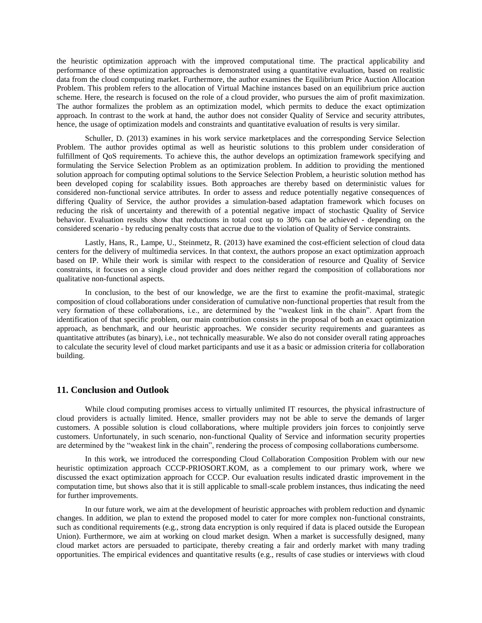the heuristic optimization approach with the improved computational time. The practical applicability and performance of these optimization approaches is demonstrated using a quantitative evaluation, based on realistic data from the cloud computing market. Furthermore, the author examines the Equilibrium Price Auction Allocation Problem. This problem refers to the allocation of Virtual Machine instances based on an equilibrium price auction scheme. Here, the research is focused on the role of a cloud provider, who pursues the aim of profit maximization. The author formalizes the problem as an optimization model, which permits to deduce the exact optimization approach. In contrast to the work at hand, the author does not consider Quality of Service and security attributes, hence, the usage of optimization models and constraints and quantitative evaluation of results is very similar.

Schuller, D. (2013) examines in his work service marketplaces and the corresponding Service Selection Problem. The author provides optimal as well as heuristic solutions to this problem under consideration of fulfillment of QoS requirements. To achieve this, the author develops an optimization framework specifying and formulating the Service Selection Problem as an optimization problem. In addition to providing the mentioned solution approach for computing optimal solutions to the Service Selection Problem, a heuristic solution method has been developed coping for scalability issues. Both approaches are thereby based on deterministic values for considered non-functional service attributes. In order to assess and reduce potentially negative consequences of differing Quality of Service, the author provides a simulation-based adaptation framework which focuses on reducing the risk of uncertainty and therewith of a potential negative impact of stochastic Quality of Service behavior. Evaluation results show that reductions in total cost up to 30% can be achieved - depending on the considered scenario - by reducing penalty costs that accrue due to the violation of Quality of Service constraints.

Lastly, Hans, R., Lampe, U., Steinmetz, R. (2013) have examined the cost-efficient selection of cloud data centers for the delivery of multimedia services. In that context, the authors propose an exact optimization approach based on IP. While their work is similar with respect to the consideration of resource and Quality of Service constraints, it focuses on a single cloud provider and does neither regard the composition of collaborations nor qualitative non-functional aspects.

In conclusion, to the best of our knowledge, we are the first to examine the profit-maximal, strategic composition of cloud collaborations under consideration of cumulative non-functional properties that result from the very formation of these collaborations, i.e., are determined by the "weakest link in the chain". Apart from the identification of that specific problem, our main contribution consists in the proposal of both an exact optimization approach, as benchmark, and our heuristic approaches. We consider security requirements and guarantees as quantitative attributes (as binary), i.e., not technically measurable. We also do not consider overall rating approaches to calculate the security level of cloud market participants and use it as a basic or admission criteria for collaboration building.

## **11. Conclusion and Outlook**

While cloud computing promises access to virtually unlimited IT resources, the physical infrastructure of cloud providers is actually limited. Hence, smaller providers may not be able to serve the demands of larger customers. A possible solution is cloud collaborations, where multiple providers join forces to conjointly serve customers. Unfortunately, in such scenario, non-functional Quality of Service and information security properties are determined by the "weakest link in the chain", rendering the process of composing collaborations cumbersome.

In this work, we introduced the corresponding Cloud Collaboration Composition Problem with our new heuristic optimization approach CCCP-PRIOSORT.KOM, as a complement to our primary work, where we discussed the exact optimization approach for CCCP. Our evaluation results indicated drastic improvement in the computation time, but shows also that it is still applicable to small-scale problem instances, thus indicating the need for further improvements.

In our future work, we aim at the development of heuristic approaches with problem reduction and dynamic changes. In addition, we plan to extend the proposed model to cater for more complex non-functional constraints, such as conditional requirements (e.g., strong data encryption is only required if data is placed outside the European Union). Furthermore, we aim at working on cloud market design. When a market is successfully designed, many cloud market actors are persuaded to participate, thereby creating a fair and orderly market with many trading opportunities. The empirical evidences and quantitative results (e.g., results of case studies or interviews with cloud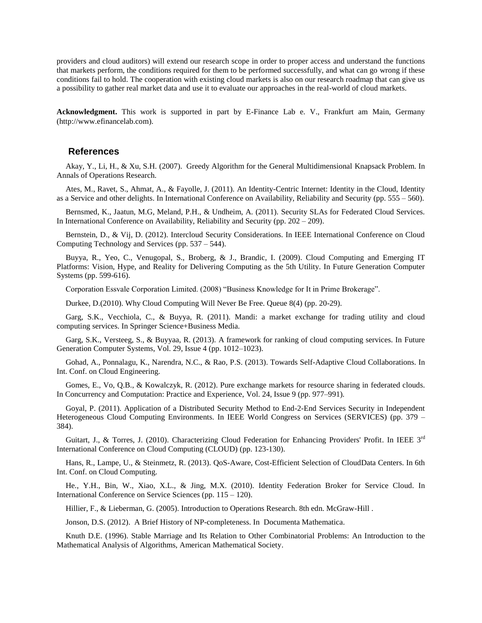providers and cloud auditors) will extend our research scope in order to proper access and understand the functions that markets perform, the conditions required for them to be performed successfully, and what can go wrong if these conditions fail to hold. The cooperation with existing cloud markets is also on our research roadmap that can give us a possibility to gather real market data and use it to evaluate our approaches in the real-world of cloud markets.

**Acknowledgment.** This work is supported in part by E-Finance Lab e. V., Frankfurt am Main, Germany [\(http://www.efinancelab.com\)](http://www.efinancelab.com/).

## **References**

Akay, Y., Li, H., & Xu, S.H. (2007). Greedy Algorithm for the General Multidimensional Knapsack Problem. In Annals of Operations Research.

Ates, M., Ravet, S., Ahmat, A., & Fayolle, J. (2011). An Identity-Centric Internet: Identity in the Cloud, Identity as a Service and other delights. In International Conference on Availability, Reliability and Security (pp. 555 – 560).

Bernsmed, K., Jaatun, M.G, Meland, P.H., & Undheim, A. (2011). Security SLAs for Federated Cloud Services. In International Conference on Availability, Reliability and Security (pp. 202 – 209).

Bernstein, D., & Vij, D. (2012). Intercloud Security Considerations. In IEEE International Conference on Cloud Computing Technology and Services (pp. 537 – 544).

Buyya, R., Yeo, C., Venugopal, S., Broberg, & J., Brandic, I. (2009). Cloud Computing and Emerging IT Platforms: Vision, Hype, and Reality for Delivering Computing as the 5th Utility. In Future Generation Computer Systems (pp. 599-616).

Corporation Essvale Corporation Limited. (2008) "Business Knowledge for It in Prime Brokerage".

Durkee, D.(2010). Why Cloud Computing Will Never Be Free. Queue 8(4) (pp. 20-29).

Garg, S.K., Vecchiola, C., & Buyya, R. (2011). Mandi: a market exchange for trading utility and cloud computing services. In Springer Science+Business Media.

Garg, S.K., Versteeg, S., & Buyyaa, R. (2013). A framework for ranking of cloud computing services. In Future Generation Computer Systems, Vol. 29, Issue 4 (pp. 1012–1023).

Gohad, A., Ponnalagu, K., Narendra, N.C., & Rao, P.S. (2013). Towards Self-Adaptive Cloud Collaborations. In Int. Conf. on Cloud Engineering.

Gomes, E., Vo, Q.B., & Kowalczyk, R. (2012). Pure exchange markets for resource sharing in federated clouds. In Concurrency and Computation: Practice and Experience, [Vol. 24, Issue 9 \(p](http://onlinelibrary.wiley.com/doi/10.1002/cpe.v24.9/issuetoc)p. 977–991).

Goyal, P. (2011). Application of a Distributed Security Method to End-2-End Services Security in Independent Heterogeneous Cloud Computing Environments. In IEEE World Congress on Services (SERVICES) (pp. 379 – 384).

Guitart, J., & Torres, J. (2010). Characterizing Cloud Federation for Enhancing Providers' Profit. In IEEE  $3^{rd}$ International Conference on Cloud Computing (CLOUD) (pp. 123-130).

Hans, R., Lampe, U., & Steinmetz, R. (2013). QoS-Aware, Cost-Efficient Selection of CloudData Centers. In 6th Int. Conf. on Cloud Computing.

He., Y.H., Bin, W., Xiao, X.L., & Jing, M.X. (2010). Identity Federation Broker for Service Cloud. In International Conference on Service Sciences (pp. 115 – 120).

Hillier, F., & Lieberman, G. (2005). Introduction to Operations Research. 8th edn. McGraw-Hill .

Jonson, D.S. (2012). A Brief History of NP-completeness. In Documenta Mathematica.

Knuth D.E. (1996). Stable Marriage and Its Relation to Other Combinatorial Problems: An Introduction to the Mathematical Analysis of Algorithms, American Mathematical Society.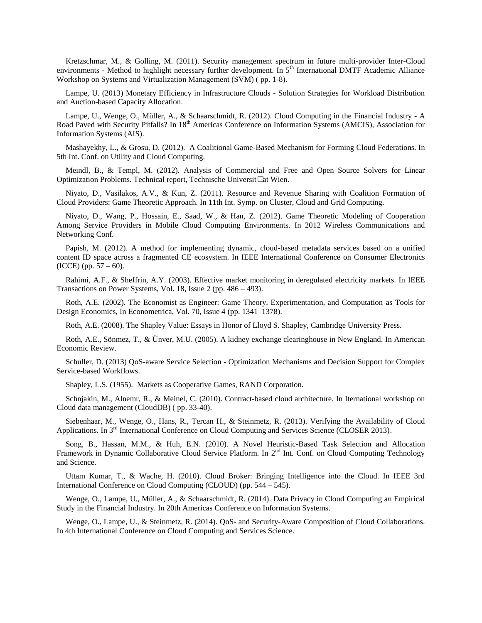Kretzschmar, M., & Golling, M. (2011). Security management spectrum in future multi-provider Inter-Cloud environments - Method to highlight necessary further development. In 5<sup>th</sup> International DMTF Academic Alliance Workshop on Systems and Virtualization Management (SVM) ( pp. 1-8).

Lampe, U. (2013) Monetary Efficiency in Infrastructure Clouds - Solution Strategies for Workload Distribution and Auction-based Capacity Allocation.

Lampe, U., Wenge, O., Müller, A., & Schaarschmidt, R. (2012). Cloud Computing in the Financial Industry - A Road Paved with Security Pitfalls? In 18<sup>th</sup> Americas Conference on Information Systems (AMCIS), Association for Information Systems (AIS).

Mashayekhy, L., & Grosu, D. (2012). A Coalitional Game-Based Mechanism for Forming Cloud Federations. In 5th Int. Conf. on Utility and Cloud Computing.

Meindl, B., & Templ, M. (2012). Analysis of Commercial and Free and Open Source Solvers for Linear Optimization Problems. Technical report, Technische Universit• at Wien.

Niyato, D., Vasilakos, A.V., & Kun, Z. (2011). Resource and Revenue Sharing with Coalition Formation of Cloud Providers: Game Theoretic Approach. In 11th Int. Symp. on Cluster, Cloud and Grid Computing.

Niyato, D., Wang, P., Hossain, E., Saad, W., & Han, Z. (2012). Game Theoretic Modeling of Cooperation Among Service Providers in Mobile Cloud Computing Environments. In 2012 Wireless Communications and Networking Conf.

Papish, M. (2012). A method for implementing dynamic, cloud-based metadata services based on a unified content ID space across a fragmented CE ecosystem. In IEEE International Conference on Consumer Electronics (ICCE) (pp. 57 – 60).

Rahimi, A.F., & Sheffrin, A.Y. (2003). Effective market monitoring in deregulated electricity markets. In IEEE Transactions on Power Systems, Vol. 18, Issue 2 (pp. 486 – 493).

Roth, A.E. (2002). The Economist as Engineer: Game Theory, Experimentation, and Computation as Tools for Design Economics, In Econometrica, Vol. 70, Issue 4 (pp. 1341–1378).

Roth, A.E. (2008). The Shapley Value: Essays in Honor of Lloyd S. Shapley, Cambridge University Press.

Roth, A.E., Sönmez, T., & Ünver, M.U. (2005). A kidney exchange clearinghouse in New England. In American Economic Review.

Schuller, D. (2013) QoS-aware Service Selection - Optimization Mechanisms and Decision Support for Complex Service-based Workflows.

Shapley, L.S. (1955). Markets as Cooperative Games, RAND Corporation.

Schnjakin, M., Alnemr, R., & Meinel, C. (2010). Contract-based cloud architecture. In Iternational workshop on Cloud data management (CloudDB) ( pp. 33-40).

Siebenhaar, M., Wenge, O., Hans, R., Tercan H., & Steinmetz, R. (2013). Verifying the Availability of Cloud Applications. In 3<sup>rd</sup> International Conference on Cloud Computing and Services Science (CLOSER 2013).

Song, B., Hassan, M.M., & Huh, E.N. (2010). A Novel Heuristic-Based Task Selection and Allocation Framework in Dynamic Collaborative Cloud Service Platform. In 2<sup>nd</sup> Int. Conf. on Cloud Computing Technology and Science.

Uttam Kumar, T., & Wache, H. (2010). Cloud Broker: Bringing Intelligence into the Cloud. In IEEE 3rd International Conference on Cloud Computing (CLOUD) (pp. 544 – 545).

Wenge, O., Lampe, U., Müller, A., & Schaarschmidt, R. (2014). Data Privacy in Cloud Computing an Empirical Study in the Financial Industry. In 20th Americas Conference on Information Systems.

Wenge, O., Lampe, U., & Steinmetz, R. (2014). QoS- and Security-Aware Composition of Cloud Collaborations. In 4th International Conference on Cloud Computing and Services Science.